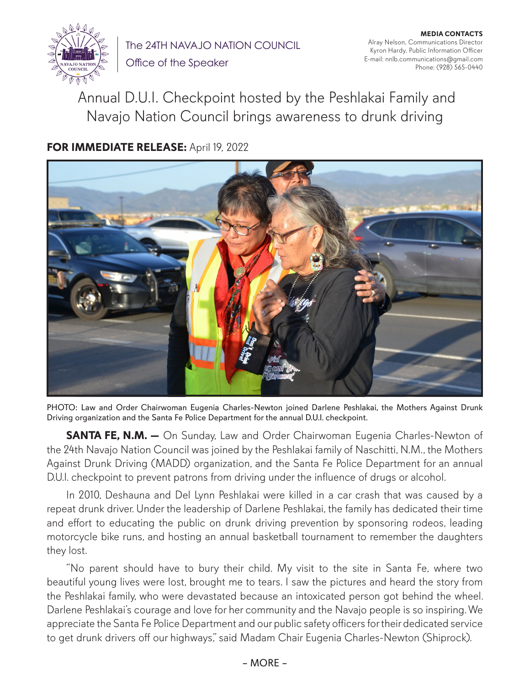

The 24TH NAVAJO NATION COUNCIL

Office of the Speaker

**MEDIA CONTACTS** Alray Nelson, Communications Director Kyron Hardy, Public Information Officer E-mail: nnlb.communications@gmail.com Phone: (928) 565-0440

 Annual D.U.I. Checkpoint hosted by the Peshlakai Family and Navajo Nation Council brings awareness to drunk driving

## **FOR IMMEDIATE RELEASE:** April 19, 2022



PHOTO: Law and Order Chairwoman Eugenia Charles-Newton joined Darlene Peshlakai, the Mothers Against Drunk Driving organization and the Santa Fe Police Department for the annual D.U.I. checkpoint.

**SANTA FE, N.M.** - On Sunday, Law and Order Chairwoman Eugenia Charles-Newton of the 24th Navajo Nation Council was joined by the Peshlakai family of Naschitti, N.M., the Mothers Against Drunk Driving (MADD) organization, and the Santa Fe Police Department for an annual D.U.I. checkpoint to prevent patrons from driving under the influence of drugs or alcohol.

In 2010, Deshauna and Del Lynn Peshlakai were killed in a car crash that was caused by a repeat drunk driver. Under the leadership of Darlene Peshlakai, the family has dedicated their time and effort to educating the public on drunk driving prevention by sponsoring rodeos, leading motorcycle bike runs, and hosting an annual basketball tournament to remember the daughters they lost.

"No parent should have to bury their child. My visit to the site in Santa Fe, where two beautiful young lives were lost, brought me to tears. I saw the pictures and heard the story from the Peshlakai family, who were devastated because an intoxicated person got behind the wheel. Darlene Peshlakai's courage and love for her community and the Navajo people is so inspiring. We appreciate the Santa Fe Police Department and our public safety officers for their dedicated service to get drunk drivers off our highways," said Madam Chair Eugenia Charles-Newton (Shiprock).